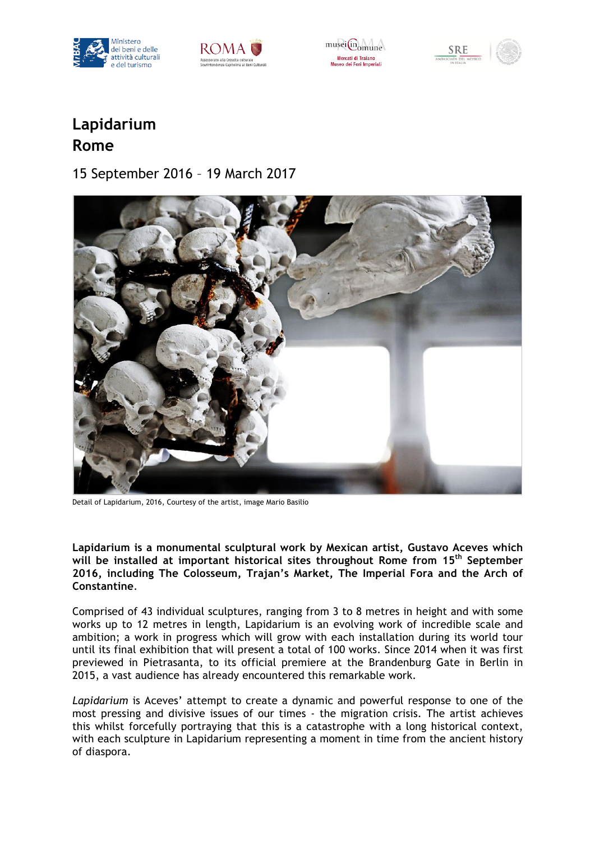



museifin<sub>omune</sub> Mercati di Trajano mercaci ur frafattu<br>Museo dei Fori Imperiali





## **Lapidarium Rome**

15 September 2016 – 19 March 2017



Detail of Lapidarium, 2016, Courtesy of the artist, image Mario Basilio

**Lapidarium is a monumental sculptural work by Mexican artist, Gustavo Aceves which will be installed at important historical sites throughout Rome from 15th September 2016, including The Colosseum, Trajan's Market, The Imperial Fora and the Arch of Constantine**.

Comprised of 43 individual sculptures, ranging from 3 to 8 metres in height and with some works up to 12 metres in length, Lapidarium is an evolving work of incredible scale and ambition; a work in progress which will grow with each installation during its world tour until its final exhibition that will present a total of 100 works. Since 2014 when it was first previewed in Pietrasanta, to its official premiere at the Brandenburg Gate in Berlin in 2015, a vast audience has already encountered this remarkable work.

*Lapidarium* is Aceves' attempt to create a dynamic and powerful response to one of the most pressing and divisive issues of our times - the migration crisis. The artist achieves this whilst forcefully portraying that this is a catastrophe with a long historical context, with each sculpture in Lapidarium representing a moment in time from the ancient history of diaspora.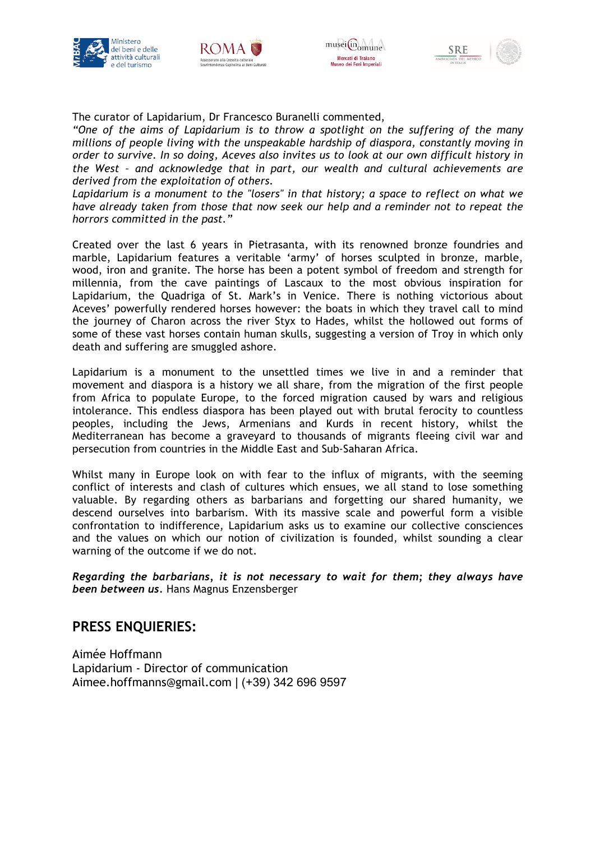







The curator of Lapidarium, Dr Francesco Buranelli commented,

*"One of the aims of Lapidarium is to throw a spotlight on the suffering of the many millions of people living with the unspeakable hardship of diaspora, constantly moving in order to survive. In so doing, Aceves also invites us to look at our own difficult history in the West – and acknowledge that in part, our wealth and cultural achievements are derived from the exploitation of others.*

*Lapidarium is a monument to the "losers" in that history; a space to reflect on what we have already taken from those that now seek our help and a reminder not to repeat the horrors committed in the past."*

Created over the last 6 years in Pietrasanta, with its renowned bronze foundries and marble, Lapidarium features a veritable 'army' of horses sculpted in bronze, marble, wood, iron and granite. The horse has been a potent symbol of freedom and strength for millennia, from the cave paintings of Lascaux to the most obvious inspiration for Lapidarium, the Quadriga of St. Mark's in Venice. There is nothing victorious about Aceves' powerfully rendered horses however: the boats in which they travel call to mind the journey of Charon across the river Styx to Hades, whilst the hollowed out forms of some of these vast horses contain human skulls, suggesting a version of Troy in which only death and suffering are smuggled ashore.

Lapidarium is a monument to the unsettled times we live in and a reminder that movement and diaspora is a history we all share, from the migration of the first people from Africa to populate Europe, to the forced migration caused by wars and religious intolerance. This endless diaspora has been played out with brutal ferocity to countless peoples, including the Jews, Armenians and Kurds in recent history, whilst the Mediterranean has become a graveyard to thousands of migrants fleeing civil war and persecution from countries in the Middle East and Sub-Saharan Africa.

Whilst many in Europe look on with fear to the influx of migrants, with the seeming conflict of interests and clash of cultures which ensues, we all stand to lose something valuable. By regarding others as barbarians and forgetting our shared humanity, we descend ourselves into barbarism. With its massive scale and powerful form a visible confrontation to indifference, Lapidarium asks us to examine our collective consciences and the values on which our notion of civilization is founded, whilst sounding a clear warning of the outcome if we do not.

*Regarding the barbarians, it is not necessary to wait for them; they always have been between us.* Hans Magnus Enzensberger

## **PRESS ENQUIERIES:**

Aimée Hoffmann Lapidarium - Director of communication Aimee.hoffmanns@gmail.com | (+39) 342 696 9597